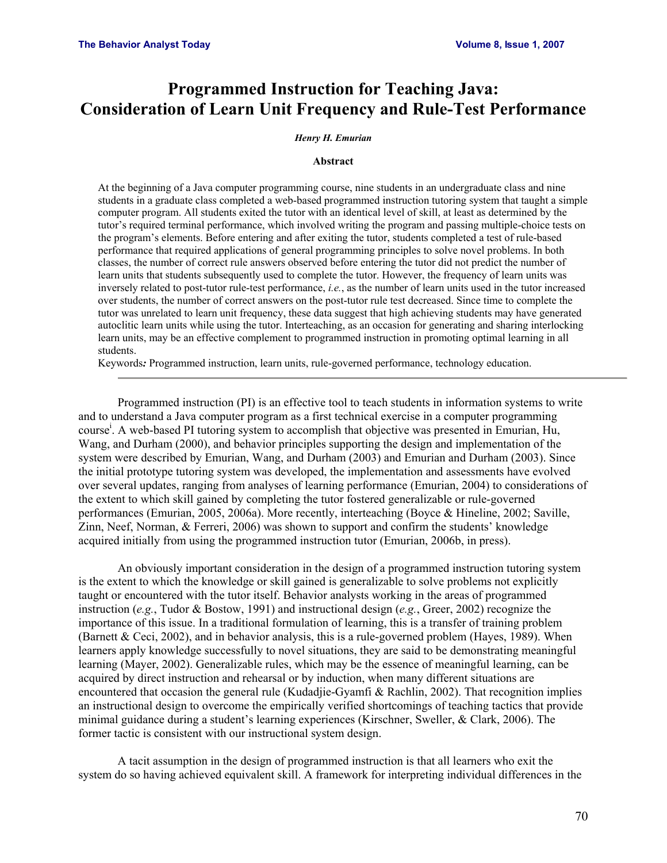# **Programmed Instruction for Teaching Java: Consideration of Learn Unit Frequency and Rule-Test Performance**

#### *Henry H. Emurian*

#### **Abstract**

At the beginning of a Java computer programming course, nine students in an undergraduate class and nine students in a graduate class completed a web-based programmed instruction tutoring system that taught a simple computer program. All students exited the tutor with an identical level of skill, at least as determined by the tutor's required terminal performance, which involved writing the program and passing multiple-choice tests on the program's elements. Before entering and after exiting the tutor, students completed a test of rule-based performance that required applications of general programming principles to solve novel problems. In both classes, the number of correct rule answers observed before entering the tutor did not predict the number of learn units that students subsequently used to complete the tutor. However, the frequency of learn units was inversely related to post-tutor rule-test performance, *i.e.*, as the number of learn units used in the tutor increased over students, the number of correct answers on the post-tutor rule test decreased. Since time to complete the tutor was unrelated to learn unit frequency, these data suggest that high achieving students may have generated autoclitic learn units while using the tutor. Interteaching, as an occasion for generating and sharing interlocking learn units, may be an effective complement to programmed instruction in promoting optimal learning in all students.

Keywords*:* Programmed instruction, learn units, rule-governed performance, technology education.

 Programmed instruction (PI) is an effective tool to teach students in information systems to write and to understand a Java computer program as a first technical exercise in a computer programming course<sup>i</sup>. A web-based PI tutoring system to accomplish that objective was presented in Emurian, Hu, Wang, and Durham (2000), and behavior principles supporting the design and implementation of the system were described by Emurian, Wang, and Durham (2003) and Emurian and Durham (2003). Since the initial prototype tutoring system was developed, the implementation and assessments have evolved over several updates, ranging from analyses of learning performance (Emurian, 2004) to considerations of the extent to which skill gained by completing the tutor fostered generalizable or rule-governed performances (Emurian, 2005, 2006a). More recently, interteaching (Boyce & Hineline, 2002; Saville, Zinn, Neef, Norman, & Ferreri, 2006) was shown to support and confirm the students' knowledge acquired initially from using the programmed instruction tutor (Emurian, 2006b, in press).

 An obviously important consideration in the design of a programmed instruction tutoring system is the extent to which the knowledge or skill gained is generalizable to solve problems not explicitly taught or encountered with the tutor itself. Behavior analysts working in the areas of programmed instruction (*e.g.*, Tudor & Bostow, 1991) and instructional design (*e.g.*, Greer, 2002) recognize the importance of this issue. In a traditional formulation of learning, this is a transfer of training problem (Barnett & Ceci, 2002), and in behavior analysis, this is a rule-governed problem (Hayes, 1989). When learners apply knowledge successfully to novel situations, they are said to be demonstrating meaningful learning (Mayer, 2002). Generalizable rules, which may be the essence of meaningful learning, can be acquired by direct instruction and rehearsal or by induction, when many different situations are encountered that occasion the general rule (Kudadiie-Gyamfi  $\&$  Rachlin, 2002). That recognition implies an instructional design to overcome the empirically verified shortcomings of teaching tactics that provide minimal guidance during a student's learning experiences (Kirschner, Sweller, & Clark, 2006). The former tactic is consistent with our instructional system design.

 A tacit assumption in the design of programmed instruction is that all learners who exit the system do so having achieved equivalent skill. A framework for interpreting individual differences in the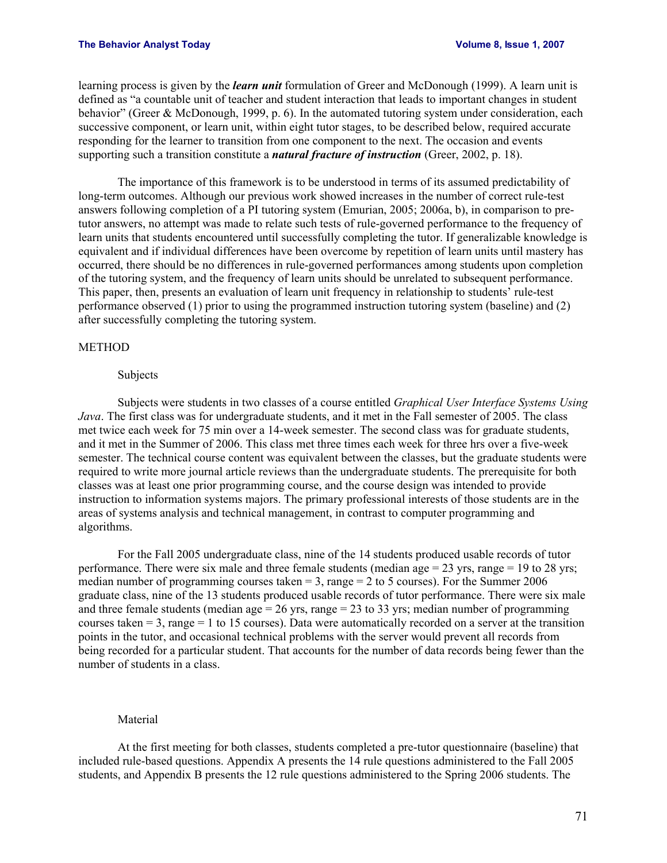#### **The Behavior Analyst Today 1, 2007 Volume 8, Issue 1, 2007**

learning process is given by the *learn unit* formulation of Greer and McDonough (1999). A learn unit is defined as "a countable unit of teacher and student interaction that leads to important changes in student behavior" (Greer & McDonough, 1999, p. 6). In the automated tutoring system under consideration, each successive component, or learn unit, within eight tutor stages, to be described below, required accurate responding for the learner to transition from one component to the next. The occasion and events supporting such a transition constitute a *natural fracture of instruction* (Greer, 2002, p. 18).

 The importance of this framework is to be understood in terms of its assumed predictability of long-term outcomes. Although our previous work showed increases in the number of correct rule-test answers following completion of a PI tutoring system (Emurian, 2005; 2006a, b), in comparison to pretutor answers, no attempt was made to relate such tests of rule-governed performance to the frequency of learn units that students encountered until successfully completing the tutor. If generalizable knowledge is equivalent and if individual differences have been overcome by repetition of learn units until mastery has occurred, there should be no differences in rule-governed performances among students upon completion of the tutoring system, and the frequency of learn units should be unrelated to subsequent performance. This paper, then, presents an evaluation of learn unit frequency in relationship to students' rule-test performance observed (1) prior to using the programmed instruction tutoring system (baseline) and (2) after successfully completing the tutoring system.

### METHOD

## Subjects

 Subjects were students in two classes of a course entitled *Graphical User Interface Systems Using Java*. The first class was for undergraduate students, and it met in the Fall semester of 2005. The class met twice each week for 75 min over a 14-week semester. The second class was for graduate students, and it met in the Summer of 2006. This class met three times each week for three hrs over a five-week semester. The technical course content was equivalent between the classes, but the graduate students were required to write more journal article reviews than the undergraduate students. The prerequisite for both classes was at least one prior programming course, and the course design was intended to provide instruction to information systems majors. The primary professional interests of those students are in the areas of systems analysis and technical management, in contrast to computer programming and algorithms.

 For the Fall 2005 undergraduate class, nine of the 14 students produced usable records of tutor performance. There were six male and three female students (median age  $= 23$  yrs, range  $= 19$  to 28 yrs; median number of programming courses taken  $= 3$ , range  $= 2$  to 5 courses). For the Summer 2006 graduate class, nine of the 13 students produced usable records of tutor performance. There were six male and three female students (median age  $= 26$  yrs, range  $= 23$  to 33 yrs; median number of programming courses taken = 3, range = 1 to 15 courses). Data were automatically recorded on a server at the transition points in the tutor, and occasional technical problems with the server would prevent all records from being recorded for a particular student. That accounts for the number of data records being fewer than the number of students in a class.

## Material

 At the first meeting for both classes, students completed a pre-tutor questionnaire (baseline) that included rule-based questions. Appendix A presents the 14 rule questions administered to the Fall 2005 students, and Appendix B presents the 12 rule questions administered to the Spring 2006 students. The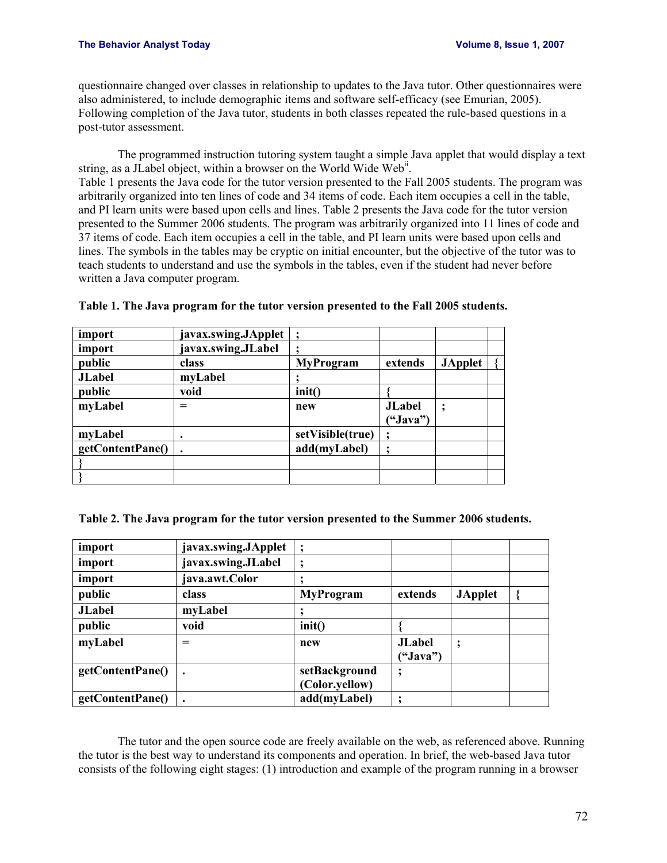questionnaire changed over classes in relationship to updates to the Java tutor. Other questionnaires were also administered, to include demographic items and software self-efficacy (see Emurian, 2005). Following completion of the Java tutor, students in both classes repeated the rule-based questions in a post-tutor assessment.

 The programmed instruction tutoring system taught a simple Java applet that would display a text string, as a JLabel object, within a browser on the World Wide Web<sup>ii</sup>. Table 1 presents the Java code for the tutor version presented to the Fall 2005 students. The program was arbitrarily organized into ten lines of code and 34 items of code. Each item occupies a cell in the table, and PI learn units were based upon cells and lines. Table 2 presents the Java code for the tutor version presented to the Summer 2006 students. The program was arbitrarily organized into 11 lines of code and 37 items of code. Each item occupies a cell in the table, and PI learn units were based upon cells and lines. The symbols in the tables may be cryptic on initial encounter, but the objective of the tutor was to teach students to understand and use the symbols in the tables, even if the student had never before written a Java computer program.

| import           | javax.swing.JApplet  ; |                  |               |                |  |
|------------------|------------------------|------------------|---------------|----------------|--|
| import           | javax.swing.JLabel     |                  |               |                |  |
| public           | class                  | <b>MyProgram</b> | extends       | <b>JApplet</b> |  |
| <b>JLabel</b>    | myLabel                |                  |               |                |  |
| public           | void                   | init()           |               |                |  |
| myLabel          | =                      | new              | <b>JLabel</b> |                |  |
|                  |                        |                  | ("Java")      |                |  |
| myLabel          |                        | setVisible(true) |               |                |  |
| getContentPane() |                        | add(myLabel)     |               |                |  |
|                  |                        |                  |               |                |  |
|                  |                        |                  |               |                |  |

| Table 1. The Java program for the tutor version presented to the Fall 2005 students. |
|--------------------------------------------------------------------------------------|
|--------------------------------------------------------------------------------------|

**Table 2. The Java program for the tutor version presented to the Summer 2006 students.** 

| import           | javax.swing.JApplet |                  |               |                |  |
|------------------|---------------------|------------------|---------------|----------------|--|
| import           | javax.swing.JLabel  |                  |               |                |  |
| import           | java.awt.Color      |                  |               |                |  |
| public           | class               | <b>MyProgram</b> | extends       | <b>JApplet</b> |  |
| <b>JLabel</b>    | myLabel             |                  |               |                |  |
| public           | void                | init()           |               |                |  |
| myLabel          | $=$                 | new              | <b>JLabel</b> | $\ddot{,}$     |  |
|                  |                     |                  | ("Java")      |                |  |
| getContentPane() | $\bullet$           | setBackground    |               |                |  |
|                  |                     | (Color.yellow)   |               |                |  |
| getContentPane() |                     | add(myLabel)     |               |                |  |

 The tutor and the open source code are freely available on the web, as referenced above. Running the tutor is the best way to understand its components and operation. In brief, the web-based Java tutor consists of the following eight stages: (1) introduction and example of the program running in a browser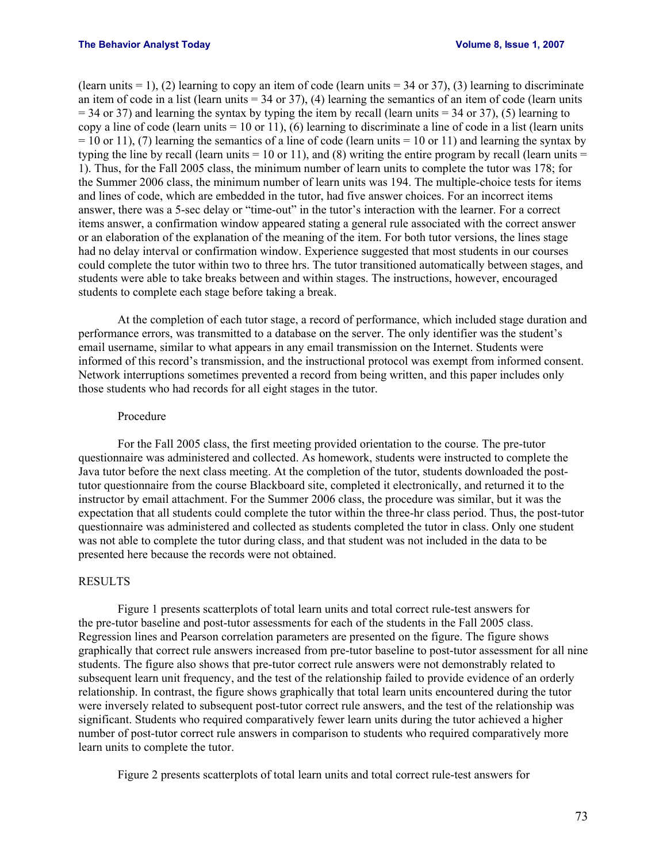(learn units  $= 1$ ), (2) learning to copy an item of code (learn units  $= 34$  or 37), (3) learning to discriminate an item of code in a list (learn units  $= 34$  or 37), (4) learning the semantics of an item of code (learn units  $= 34$  or 37) and learning the syntax by typing the item by recall (learn units  $= 34$  or 37), (5) learning to copy a line of code (learn units  $= 10$  or 11), (6) learning to discriminate a line of code in a list (learn units  $= 10$  or 11), (7) learning the semantics of a line of code (learn units  $= 10$  or 11) and learning the syntax by typing the line by recall (learn units  $= 10$  or 11), and (8) writing the entire program by recall (learn units  $=$ 1). Thus, for the Fall 2005 class, the minimum number of learn units to complete the tutor was 178; for the Summer 2006 class, the minimum number of learn units was 194. The multiple-choice tests for items and lines of code, which are embedded in the tutor, had five answer choices. For an incorrect items answer, there was a 5-sec delay or "time-out" in the tutor's interaction with the learner. For a correct items answer, a confirmation window appeared stating a general rule associated with the correct answer or an elaboration of the explanation of the meaning of the item. For both tutor versions, the lines stage had no delay interval or confirmation window. Experience suggested that most students in our courses could complete the tutor within two to three hrs. The tutor transitioned automatically between stages, and students were able to take breaks between and within stages. The instructions, however, encouraged students to complete each stage before taking a break.

 At the completion of each tutor stage, a record of performance, which included stage duration and performance errors, was transmitted to a database on the server. The only identifier was the student's email username, similar to what appears in any email transmission on the Internet. Students were informed of this record's transmission, and the instructional protocol was exempt from informed consent. Network interruptions sometimes prevented a record from being written, and this paper includes only those students who had records for all eight stages in the tutor.

## Procedure

 For the Fall 2005 class, the first meeting provided orientation to the course. The pre-tutor questionnaire was administered and collected. As homework, students were instructed to complete the Java tutor before the next class meeting. At the completion of the tutor, students downloaded the posttutor questionnaire from the course Blackboard site, completed it electronically, and returned it to the instructor by email attachment. For the Summer 2006 class, the procedure was similar, but it was the expectation that all students could complete the tutor within the three-hr class period. Thus, the post-tutor questionnaire was administered and collected as students completed the tutor in class. Only one student was not able to complete the tutor during class, and that student was not included in the data to be presented here because the records were not obtained.

## RESULTS

 Figure 1 presents scatterplots of total learn units and total correct rule-test answers for the pre-tutor baseline and post-tutor assessments for each of the students in the Fall 2005 class. Regression lines and Pearson correlation parameters are presented on the figure. The figure shows graphically that correct rule answers increased from pre-tutor baseline to post-tutor assessment for all nine students. The figure also shows that pre-tutor correct rule answers were not demonstrably related to subsequent learn unit frequency, and the test of the relationship failed to provide evidence of an orderly relationship. In contrast, the figure shows graphically that total learn units encountered during the tutor were inversely related to subsequent post-tutor correct rule answers, and the test of the relationship was significant. Students who required comparatively fewer learn units during the tutor achieved a higher number of post-tutor correct rule answers in comparison to students who required comparatively more learn units to complete the tutor.

Figure 2 presents scatterplots of total learn units and total correct rule-test answers for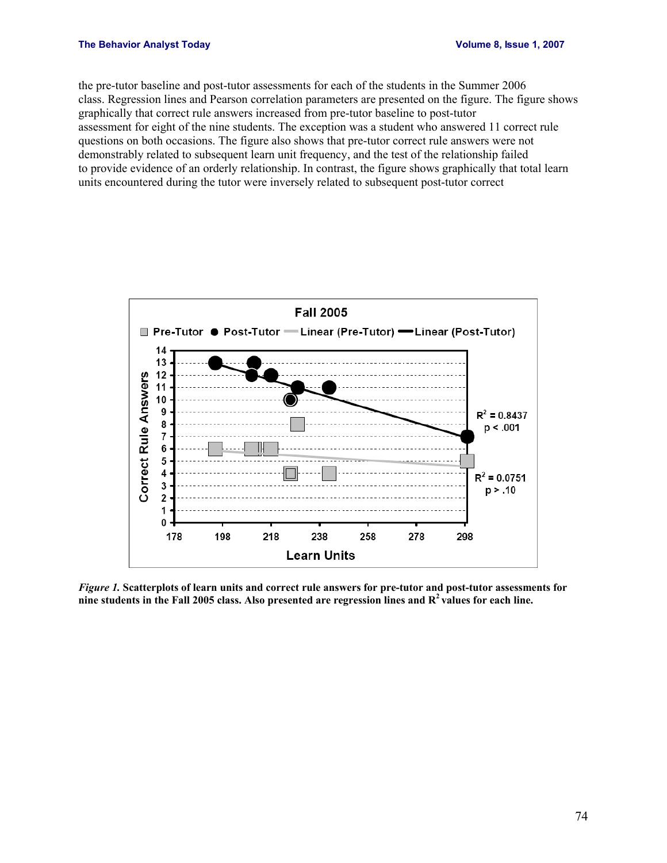### **The Behavior Analyst Today 1.2007 1.2007 1.2007 1.2007 1.2007 1.2007 1.2007 1.2007 1.2007**

the pre-tutor baseline and post-tutor assessments for each of the students in the Summer 2006 class. Regression lines and Pearson correlation parameters are presented on the figure. The figure shows graphically that correct rule answers increased from pre-tutor baseline to post-tutor assessment for eight of the nine students. The exception was a student who answered 11 correct rule questions on both occasions. The figure also shows that pre-tutor correct rule answers were not demonstrably related to subsequent learn unit frequency, and the test of the relationship failed to provide evidence of an orderly relationship. In contrast, the figure shows graphically that total learn units encountered during the tutor were inversely related to subsequent post-tutor correct



*Figure 1.* **Scatterplots of learn units and correct rule answers for pre-tutor and post-tutor assessments for nine students in the Fall 2005 class. Also presented are regression lines and R2 values for each line.**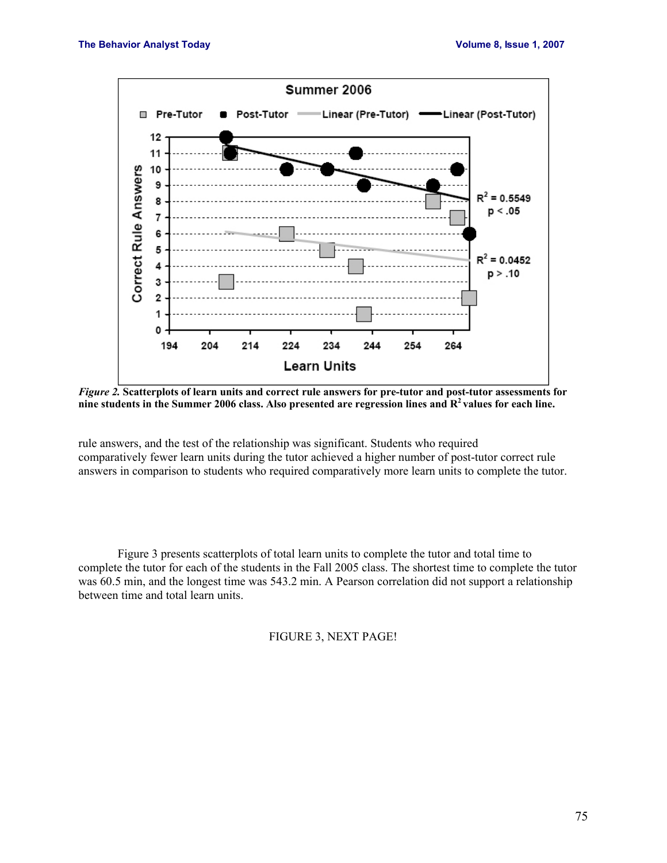

*Figure 2.* **Scatterplots of learn units and correct rule answers for pre-tutor and post-tutor assessments for nine students in the Summer 2006 class. Also presented are regression lines and R2 values for each line.** 

rule answers, and the test of the relationship was significant. Students who required comparatively fewer learn units during the tutor achieved a higher number of post-tutor correct rule answers in comparison to students who required comparatively more learn units to complete the tutor.

 Figure 3 presents scatterplots of total learn units to complete the tutor and total time to complete the tutor for each of the students in the Fall 2005 class. The shortest time to complete the tutor was 60.5 min, and the longest time was 543.2 min. A Pearson correlation did not support a relationship between time and total learn units.

FIGURE 3, NEXT PAGE!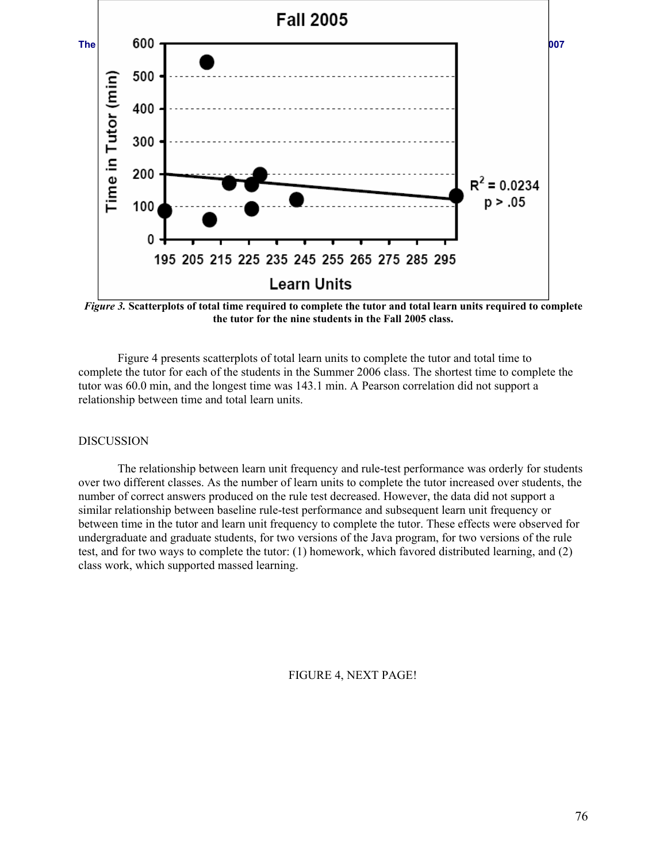

*Figure 3.* **Scatterplots of total time required to complete the tutor and total learn units required to complete the tutor for the nine students in the Fall 2005 class.** 

 Figure 4 presents scatterplots of total learn units to complete the tutor and total time to complete the tutor for each of the students in the Summer 2006 class. The shortest time to complete the tutor was 60.0 min, and the longest time was 143.1 min. A Pearson correlation did not support a relationship between time and total learn units.

## DISCUSSION

The relationship between learn unit frequency and rule-test performance was orderly for students over two different classes. As the number of learn units to complete the tutor increased over students, the number of correct answers produced on the rule test decreased. However, the data did not support a similar relationship between baseline rule-test performance and subsequent learn unit frequency or between time in the tutor and learn unit frequency to complete the tutor. These effects were observed for undergraduate and graduate students, for two versions of the Java program, for two versions of the rule test, and for two ways to complete the tutor: (1) homework, which favored distributed learning, and (2) class work, which supported massed learning.

FIGURE 4, NEXT PAGE!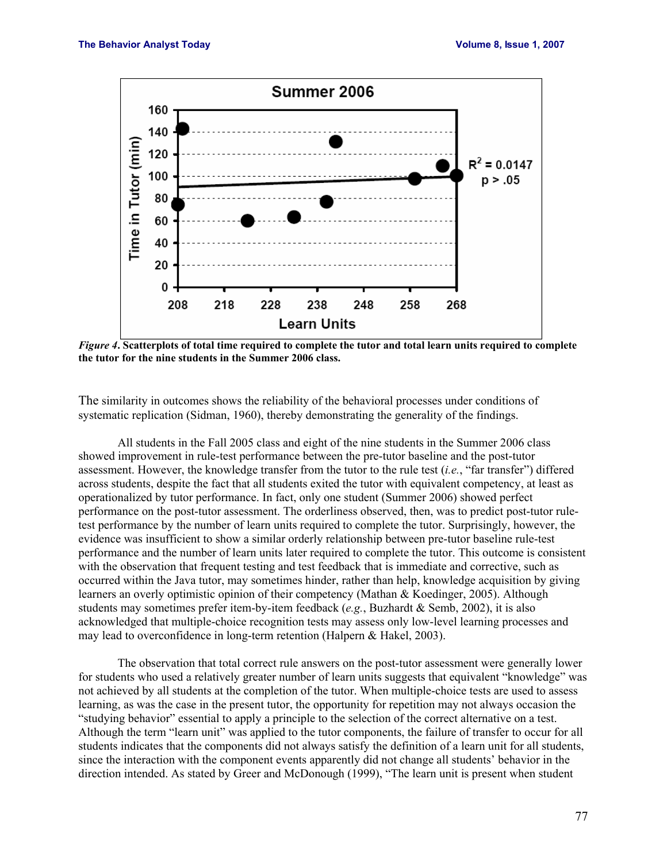

*Figure 4***. Scatterplots of total time required to complete the tutor and total learn units required to complete the tutor for the nine students in the Summer 2006 class.** 

The similarity in outcomes shows the reliability of the behavioral processes under conditions of systematic replication (Sidman, 1960), thereby demonstrating the generality of the findings.

 All students in the Fall 2005 class and eight of the nine students in the Summer 2006 class showed improvement in rule-test performance between the pre-tutor baseline and the post-tutor assessment. However, the knowledge transfer from the tutor to the rule test (*i.e.*, "far transfer") differed across students, despite the fact that all students exited the tutor with equivalent competency, at least as operationalized by tutor performance. In fact, only one student (Summer 2006) showed perfect performance on the post-tutor assessment. The orderliness observed, then, was to predict post-tutor ruletest performance by the number of learn units required to complete the tutor. Surprisingly, however, the evidence was insufficient to show a similar orderly relationship between pre-tutor baseline rule-test performance and the number of learn units later required to complete the tutor. This outcome is consistent with the observation that frequent testing and test feedback that is immediate and corrective, such as occurred within the Java tutor, may sometimes hinder, rather than help, knowledge acquisition by giving learners an overly optimistic opinion of their competency (Mathan & Koedinger, 2005). Although students may sometimes prefer item-by-item feedback (*e.g.*, Buzhardt & Semb, 2002), it is also acknowledged that multiple-choice recognition tests may assess only low-level learning processes and may lead to overconfidence in long-term retention (Halpern & Hakel, 2003).

 The observation that total correct rule answers on the post-tutor assessment were generally lower for students who used a relatively greater number of learn units suggests that equivalent "knowledge" was not achieved by all students at the completion of the tutor. When multiple-choice tests are used to assess learning, as was the case in the present tutor, the opportunity for repetition may not always occasion the "studying behavior" essential to apply a principle to the selection of the correct alternative on a test. Although the term "learn unit" was applied to the tutor components, the failure of transfer to occur for all students indicates that the components did not always satisfy the definition of a learn unit for all students, since the interaction with the component events apparently did not change all students' behavior in the direction intended. As stated by Greer and McDonough (1999), "The learn unit is present when student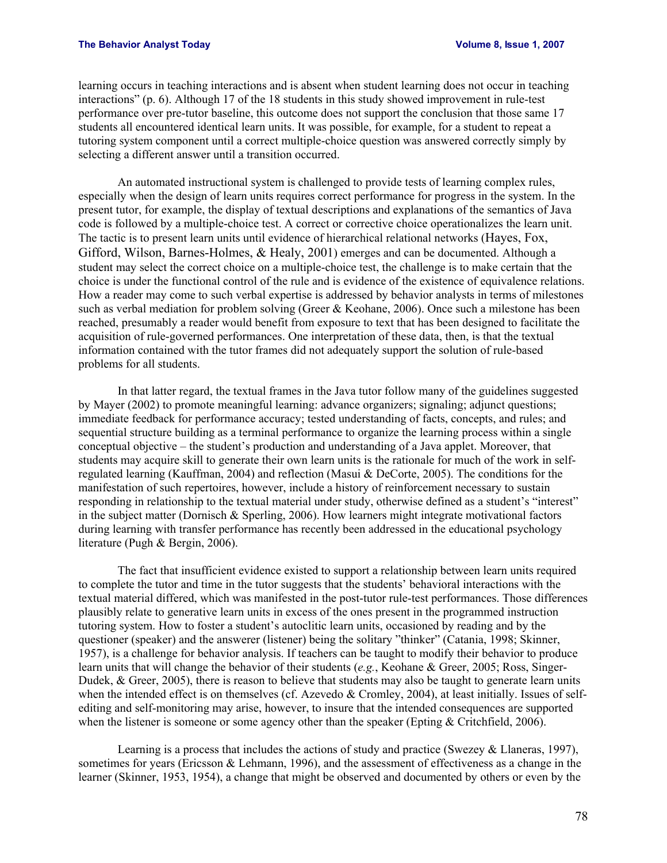learning occurs in teaching interactions and is absent when student learning does not occur in teaching interactions" (p. 6). Although 17 of the 18 students in this study showed improvement in rule-test performance over pre-tutor baseline, this outcome does not support the conclusion that those same 17 students all encountered identical learn units. It was possible, for example, for a student to repeat a tutoring system component until a correct multiple-choice question was answered correctly simply by selecting a different answer until a transition occurred.

 An automated instructional system is challenged to provide tests of learning complex rules, especially when the design of learn units requires correct performance for progress in the system. In the present tutor, for example, the display of textual descriptions and explanations of the semantics of Java code is followed by a multiple-choice test. A correct or corrective choice operationalizes the learn unit. The tactic is to present learn units until evidence of hierarchical relational networks (Hayes, Fox, Gifford, Wilson, Barnes-Holmes, & Healy, 2001) emerges and can be documented. Although a student may select the correct choice on a multiple-choice test, the challenge is to make certain that the choice is under the functional control of the rule and is evidence of the existence of equivalence relations. How a reader may come to such verbal expertise is addressed by behavior analysts in terms of milestones such as verbal mediation for problem solving (Greer & Keohane, 2006). Once such a milestone has been reached, presumably a reader would benefit from exposure to text that has been designed to facilitate the acquisition of rule-governed performances. One interpretation of these data, then, is that the textual information contained with the tutor frames did not adequately support the solution of rule-based problems for all students.

 In that latter regard, the textual frames in the Java tutor follow many of the guidelines suggested by Mayer (2002) to promote meaningful learning: advance organizers; signaling; adjunct questions; immediate feedback for performance accuracy; tested understanding of facts, concepts, and rules; and sequential structure building as a terminal performance to organize the learning process within a single conceptual objective – the student's production and understanding of a Java applet. Moreover, that students may acquire skill to generate their own learn units is the rationale for much of the work in selfregulated learning (Kauffman, 2004) and reflection (Masui & DeCorte, 2005). The conditions for the manifestation of such repertoires, however, include a history of reinforcement necessary to sustain responding in relationship to the textual material under study, otherwise defined as a student's "interest" in the subject matter (Dornisch & Sperling, 2006). How learners might integrate motivational factors during learning with transfer performance has recently been addressed in the educational psychology literature (Pugh & Bergin, 2006).

 The fact that insufficient evidence existed to support a relationship between learn units required to complete the tutor and time in the tutor suggests that the students' behavioral interactions with the textual material differed, which was manifested in the post-tutor rule-test performances. Those differences plausibly relate to generative learn units in excess of the ones present in the programmed instruction tutoring system. How to foster a student's autoclitic learn units, occasioned by reading and by the questioner (speaker) and the answerer (listener) being the solitary "thinker" (Catania, 1998; Skinner, 1957), is a challenge for behavior analysis. If teachers can be taught to modify their behavior to produce learn units that will change the behavior of their students (*e.g.*, Keohane & Greer, 2005; Ross, Singer-Dudek, & Greer, 2005), there is reason to believe that students may also be taught to generate learn units when the intended effect is on themselves (cf. Azevedo & Cromley, 2004), at least initially. Issues of selfediting and self-monitoring may arise, however, to insure that the intended consequences are supported when the listener is someone or some agency other than the speaker (Epting & Critchfield, 2006).

 Learning is a process that includes the actions of study and practice (Swezey & Llaneras, 1997), sometimes for years (Ericsson & Lehmann, 1996), and the assessment of effectiveness as a change in the learner (Skinner, 1953, 1954), a change that might be observed and documented by others or even by the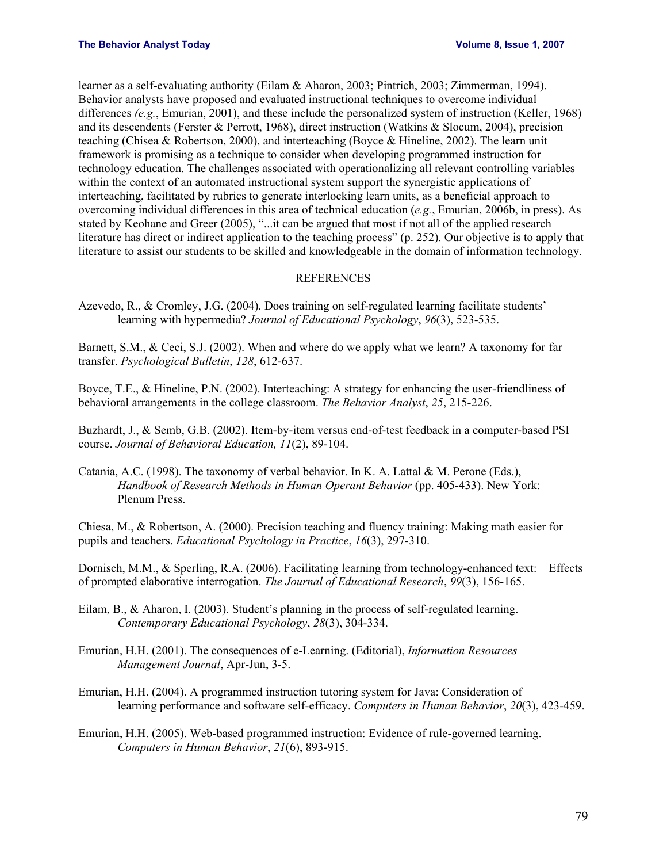learner as a self-evaluating authority (Eilam & Aharon, 2003; Pintrich, 2003; Zimmerman, 1994). Behavior analysts have proposed and evaluated instructional techniques to overcome individual differences *(e.g.*, Emurian, 2001), and these include the personalized system of instruction (Keller, 1968) and its descendents (Ferster & Perrott, 1968), direct instruction (Watkins & Slocum, 2004), precision teaching (Chisea & Robertson, 2000), and interteaching (Boyce & Hineline, 2002). The learn unit framework is promising as a technique to consider when developing programmed instruction for technology education. The challenges associated with operationalizing all relevant controlling variables within the context of an automated instructional system support the synergistic applications of interteaching, facilitated by rubrics to generate interlocking learn units, as a beneficial approach to overcoming individual differences in this area of technical education (*e.g.*, Emurian, 2006b, in press). As stated by Keohane and Greer (2005), "...it can be argued that most if not all of the applied research literature has direct or indirect application to the teaching process" (p. 252). Our objective is to apply that literature to assist our students to be skilled and knowledgeable in the domain of information technology.

## REFERENCES

Azevedo, R., & Cromley, J.G. (2004). Does training on self-regulated learning facilitate students' learning with hypermedia? *Journal of Educational Psychology*, *96*(3), 523-535.

Barnett, S.M., & Ceci, S.J. (2002). When and where do we apply what we learn? A taxonomy for far transfer. *Psychological Bulletin*, *128*, 612-637.

Boyce, T.E., & Hineline, P.N. (2002). Interteaching: A strategy for enhancing the user-friendliness of behavioral arrangements in the college classroom. *The Behavior Analyst*, *25*, 215-226.

Buzhardt, J., & Semb, G.B. (2002). Item-by-item versus end-of-test feedback in a computer-based PSI course. *Journal of Behavioral Education, 11*(2), 89-104.

Catania, A.C. (1998). The taxonomy of verbal behavior. In K. A. Lattal & M. Perone (Eds.), *Handbook of Research Methods in Human Operant Behavior* (pp. 405-433). New York: Plenum Press.

Chiesa, M., & Robertson, A. (2000). Precision teaching and fluency training: Making math easier for pupils and teachers. *Educational Psychology in Practice*, *16*(3), 297-310.

Dornisch, M.M., & Sperling, R.A. (2006). Facilitating learning from technology-enhanced text: Effects of prompted elaborative interrogation. *The Journal of Educational Research*, *99*(3), 156-165.

- Eilam, B., & Aharon, I. (2003). Student's planning in the process of self-regulated learning. *Contemporary Educational Psychology*, *28*(3), 304-334.
- Emurian, H.H. (2001). The consequences of e-Learning. (Editorial), *Information Resources Management Journal*, Apr-Jun, 3-5.

Emurian, H.H. (2004). A programmed instruction tutoring system for Java: Consideration of learning performance and software self-efficacy. *Computers in Human Behavior*, *20*(3), 423-459.

Emurian, H.H. (2005). Web-based programmed instruction: Evidence of rule-governed learning. *Computers in Human Behavior*, *21*(6), 893-915.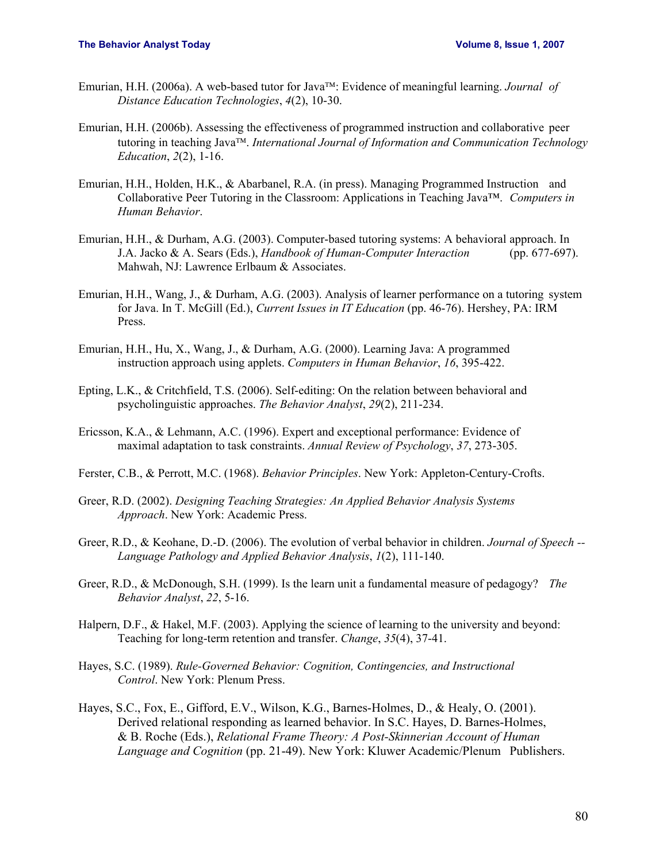- Emurian, H.H. (2006a). A web-based tutor for Java<sup>TM</sup>: Evidence of meaningful learning. *Journal of Distance Education Technologies*, *4*(2), 10-30.
- Emurian, H.H. (2006b). Assessing the effectiveness of programmed instruction and collaborative peer tutoring in teaching Java<sup>TM</sup>. International Journal of Information and Communication Technology *Education*, *2*(2), 1-16.
- Emurian, H.H., Holden, H.K., & Abarbanel, R.A. (in press). Managing Programmed Instruction and Collaborative Peer Tutoring in the Classroom: Applications in Teaching Java™. *Computers in Human Behavior*.
- Emurian, H.H., & Durham, A.G. (2003). Computer-based tutoring systems: A behavioral approach. In J.A. Jacko & A. Sears (Eds.), *Handbook of Human-Computer Interaction* (pp. 677-697). Mahwah, NJ: Lawrence Erlbaum & Associates.
- Emurian, H.H., Wang, J., & Durham, A.G. (2003). Analysis of learner performance on a tutoring system for Java. In T. McGill (Ed.), *Current Issues in IT Education* (pp. 46-76). Hershey, PA: IRM Press.
- Emurian, H.H., Hu, X., Wang, J., & Durham, A.G. (2000). Learning Java: A programmed instruction approach using applets. *Computers in Human Behavior*, *16*, 395-422.
- Epting, L.K., & Critchfield, T.S. (2006). Self-editing: On the relation between behavioral and psycholinguistic approaches. *The Behavior Analyst*, *29*(2), 211-234.
- Ericsson, K.A., & Lehmann, A.C. (1996). Expert and exceptional performance: Evidence of maximal adaptation to task constraints. *Annual Review of Psychology*, *37*, 273-305.
- Ferster, C.B., & Perrott, M.C. (1968). *Behavior Principles*. New York: Appleton-Century-Crofts.
- Greer, R.D. (2002). *Designing Teaching Strategies: An Applied Behavior Analysis Systems Approach*. New York: Academic Press.
- Greer, R.D., & Keohane, D.-D. (2006). The evolution of verbal behavior in children. *Journal of Speech -- Language Pathology and Applied Behavior Analysis*, *1*(2), 111-140.
- Greer, R.D., & McDonough, S.H. (1999). Is the learn unit a fundamental measure of pedagogy? *The Behavior Analyst*, *22*, 5-16.
- Halpern, D.F., & Hakel, M.F. (2003). Applying the science of learning to the university and beyond: Teaching for long-term retention and transfer. *Change*, *35*(4), 37-41.
- Hayes, S.C. (1989). *Rule-Governed Behavior: Cognition, Contingencies, and Instructional Control*. New York: Plenum Press.
- Hayes, S.C., Fox, E., Gifford, E.V., Wilson, K.G., Barnes-Holmes, D., & Healy, O. (2001). Derived relational responding as learned behavior. In S.C. Hayes, D. Barnes-Holmes, & B. Roche (Eds.), *Relational Frame Theory: A Post-Skinnerian Account of Human Language and Cognition* (pp. 21-49). New York: Kluwer Academic/Plenum Publishers.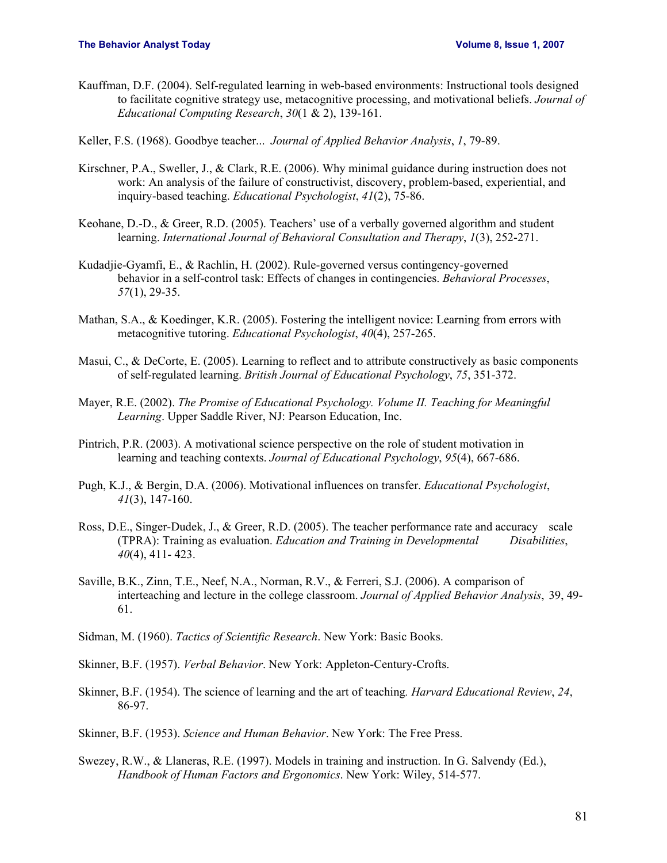Kauffman, D.F. (2004). Self-regulated learning in web-based environments: Instructional tools designed to facilitate cognitive strategy use, metacognitive processing, and motivational beliefs. *Journal of Educational Computing Research*, *30*(1 & 2), 139-161.

Keller, F.S. (1968). Goodbye teacher... *Journal of Applied Behavior Analysis*, *1*, 79-89.

- Kirschner, P.A., Sweller, J., & Clark, R.E. (2006). Why minimal guidance during instruction does not work: An analysis of the failure of constructivist, discovery, problem-based, experiential, and inquiry-based teaching. *Educational Psychologist*, *41*(2), 75-86.
- Keohane, D.-D., & Greer, R.D. (2005). Teachers' use of a verbally governed algorithm and student learning. *International Journal of Behavioral Consultation and Therapy*, *1*(3), 252-271.
- Kudadjie-Gyamfi, E., & Rachlin, H. (2002). Rule-governed versus contingency-governed behavior in a self-control task: Effects of changes in contingencies. *Behavioral Processes*, *57*(1), 29-35.
- Mathan, S.A., & Koedinger, K.R. (2005). Fostering the intelligent novice: Learning from errors with metacognitive tutoring. *Educational Psychologist*, *40*(4), 257-265.
- Masui, C., & DeCorte, E. (2005). Learning to reflect and to attribute constructively as basic components of self-regulated learning. *British Journal of Educational Psychology*, *75*, 351-372.
- Mayer, R.E. (2002). *The Promise of Educational Psychology. Volume II. Teaching for Meaningful Learning*. Upper Saddle River, NJ: Pearson Education, Inc.
- Pintrich, P.R. (2003). A motivational science perspective on the role of student motivation in learning and teaching contexts. *Journal of Educational Psychology*, *95*(4), 667-686.
- Pugh, K.J., & Bergin, D.A. (2006). Motivational influences on transfer. *Educational Psychologist*, *41*(3), 147-160.
- Ross, D.E., Singer-Dudek, J., & Greer, R.D. (2005). The teacher performance rate and accuracy scale (TPRA): Training as evaluation. *Education and Training in Developmental Disabilities*, *40*(4), 411- 423.
- Saville, B.K., Zinn, T.E., Neef, N.A., Norman, R.V., & Ferreri, S.J. (2006). A comparison of interteaching and lecture in the college classroom. *Journal of Applied Behavior Analysis*, 39, 49- 61.
- Sidman, M. (1960). *Tactics of Scientific Research*. New York: Basic Books.
- Skinner, B.F. (1957). *Verbal Behavior*. New York: Appleton-Century-Crofts.
- Skinner, B.F. (1954). The science of learning and the art of teaching*. Harvard Educational Review*, *24*, 86-97.
- Skinner, B.F. (1953). *Science and Human Behavior*. New York: The Free Press.
- Swezey, R.W., & Llaneras, R.E. (1997). Models in training and instruction. In G. Salvendy (Ed.), *Handbook of Human Factors and Ergonomics*. New York: Wiley, 514-577.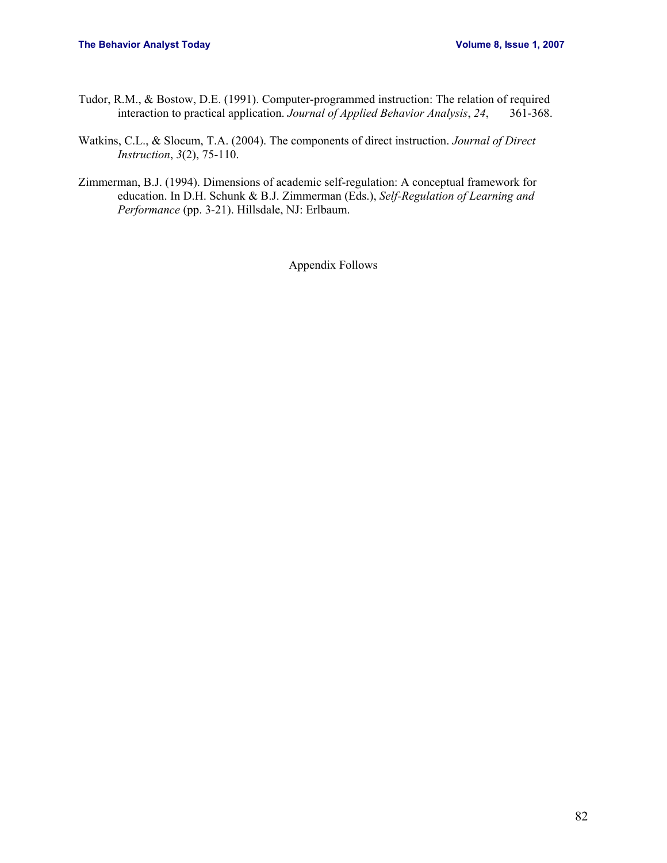- Tudor, R.M., & Bostow, D.E. (1991). Computer-programmed instruction: The relation of required interaction to practical application. *Journal of Applied Behavior Analysis*, *24*, 361-368.
- Watkins, C.L., & Slocum, T.A. (2004). The components of direct instruction. *Journal of Direct Instruction*, *3*(2), 75-110.
- Zimmerman, B.J. (1994). Dimensions of academic self-regulation: A conceptual framework for education. In D.H. Schunk & B.J. Zimmerman (Eds.), *Self-Regulation of Learning and Performance* (pp. 3-21). Hillsdale, NJ: Erlbaum.

Appendix Follows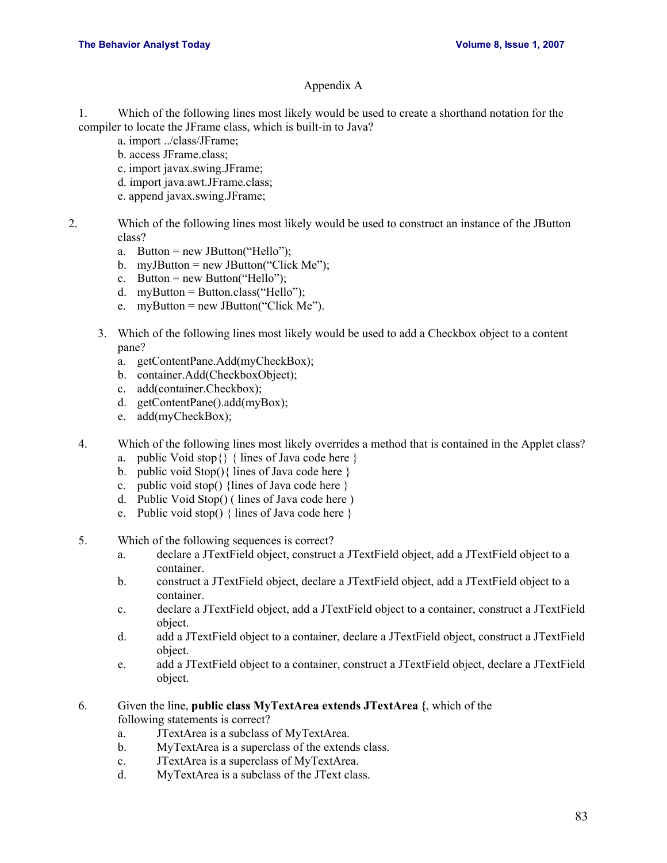## Appendix A

1. Which of the following lines most likely would be used to create a shorthand notation for the compiler to locate the JFrame class, which is built-in to Java?

- a. import ../class/JFrame;
	- b. access JFrame.class;
	- c. import javax.swing.JFrame;
	- d. import java.awt.JFrame.class;
- e. append javax.swing.JFrame;
- 2. Which of the following lines most likely would be used to construct an instance of the JButton class?
	- a. Button = new JButton("Hello");
	- b.  $myJButton = new JButton("Click Me");$
	- c. Button = new Button("Hello");
	- d. myButton = Button.class("Hello");
	- e.  $myButton = new JButton("Click Me").$
	- 3. Which of the following lines most likely would be used to add a Checkbox object to a content pane?
		- a. getContentPane.Add(myCheckBox);
		- b. container.Add(CheckboxObject);
		- c. add(container.Checkbox);
		- d. getContentPane().add(myBox);
		- e. add(myCheckBox);
	- 4. Which of the following lines most likely overrides a method that is contained in the Applet class?
		- a. public Void stop $\{\}$  { lines of Java code here }
		- b. public void  $Stop()$  lines of Java code here  $\}$
		- c. public void stop() {lines of Java code here }
		- d. Public Void Stop() ( lines of Java code here )
		- e. Public void stop() { lines of Java code here }
	- 5. Which of the following sequences is correct?
		- a. declare a JTextField object, construct a JTextField object, add a JTextField object to a container.
		- b. construct a JTextField object, declare a JTextField object, add a JTextField object to a container.
		- c. declare a JTextField object, add a JTextField object to a container, construct a JTextField object.
		- d. add a JTextField object to a container, declare a JTextField object, construct a JTextField object.
		- e. add a JTextField object to a container, construct a JTextField object, declare a JTextField object.
	- 6. Given the line, **public class MyTextArea extends JTextArea {**, which of the following statements is correct?
		- a. JTextArea is a subclass of MyTextArea.
		- b. MyTextArea is a superclass of the extends class.
		- c. JTextArea is a superclass of MyTextArea.
		- d. MyTextArea is a subclass of the JText class.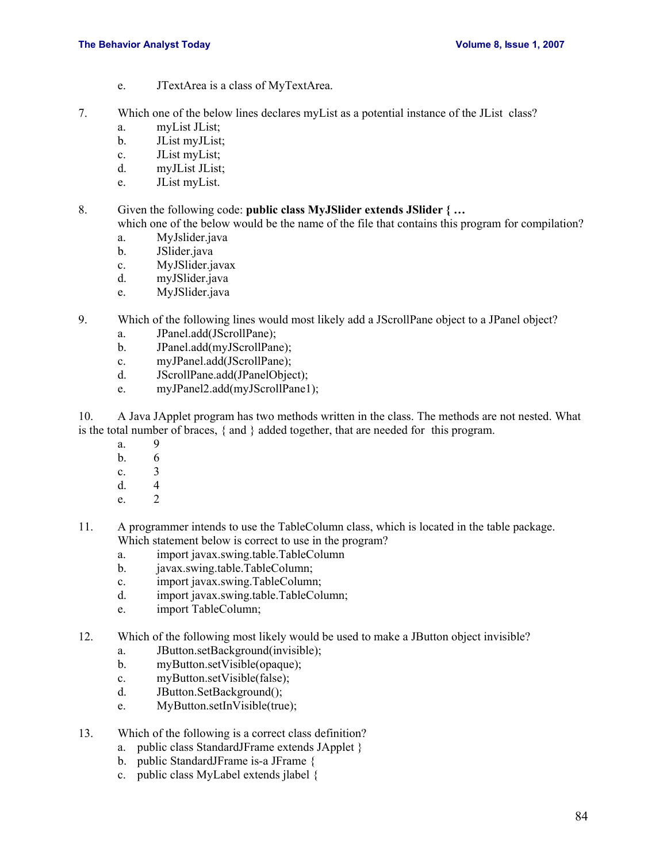- e. JTextArea is a class of MyTextArea.
- 7. Which one of the below lines declares myList as a potential instance of the JList class?
	- a. myList JList;
	- b. JList myJList;
	- c. JList myList;
	- d. myJList JList;
	- e. JList myList.
- 8. Given the following code: **public class MyJSlider extends JSlider { …** which one of the below would be the name of the file that contains this program for compilation?
	- a. MyJslider.java
	- b. JSlider.java
	- c. MyJSlider.javax
	- d. myJSlider.java
	- e. MyJSlider.java
- 9. Which of the following lines would most likely add a JScrollPane object to a JPanel object?
	- a. JPanel.add(JScrollPane);
	- b. JPanel.add(myJScrollPane);
	- c. myJPanel.add(JScrollPane);
	- d. JScrollPane.add(JPanelObject);
	- e. myJPanel2.add(myJScrollPane1);
- 10. A Java JApplet program has two methods written in the class. The methods are not nested. What is the total number of braces, { and } added together, that are needed for this program.
	- a. 9
	- b. 6
	- c. 3
	- d. 4
	- e. 2
- 11. A programmer intends to use the TableColumn class, which is located in the table package. Which statement below is correct to use in the program?
	- a. import javax.swing.table.TableColumn
	- b. javax.swing.table.TableColumn;
	- c. import javax.swing.TableColumn;
	- d. import javax.swing.table.TableColumn;
	- e. import TableColumn;
- 12. Which of the following most likely would be used to make a JButton object invisible?
	- a. JButton.setBackground(invisible);
	- b. myButton.setVisible(opaque);
	- c. myButton.setVisible(false);
	- d. JButton.SetBackground();
	- e. MyButton.setInVisible(true);
- 13. Which of the following is a correct class definition?
	- a. public class StandardJFrame extends JApplet }
	- b. public StandardJFrame is-a JFrame {
	- c. public class MyLabel extends jlabel {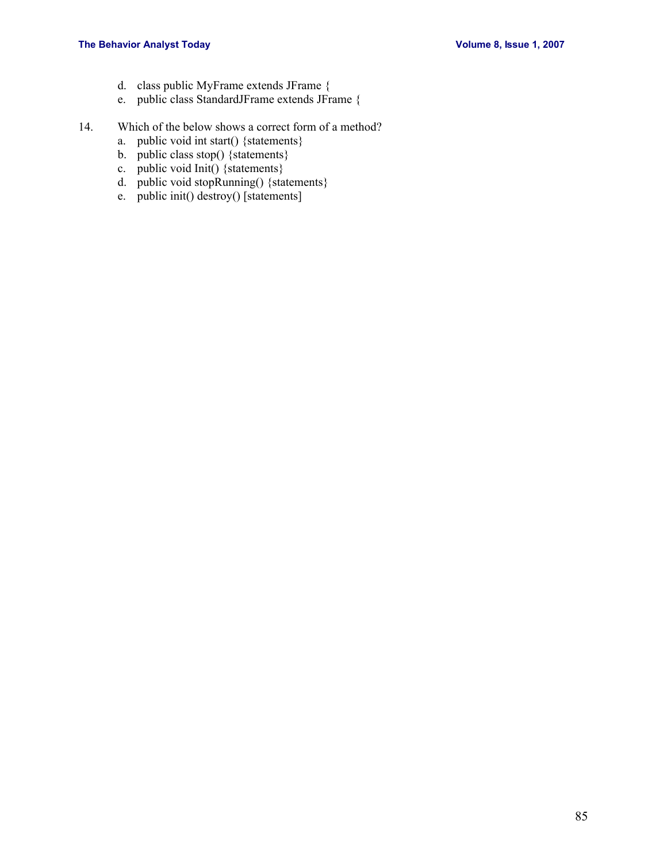- d. class public MyFrame extends JFrame {
- e. public class StandardJFrame extends JFrame {
- 14. Which of the below shows a correct form of a method?
	- a. public void int start() {statements}
	- b. public class stop() {statements}
	- c. public void Init() {statements}
	- d. public void stopRunning() {statements}
	- e. public init() destroy() [statements]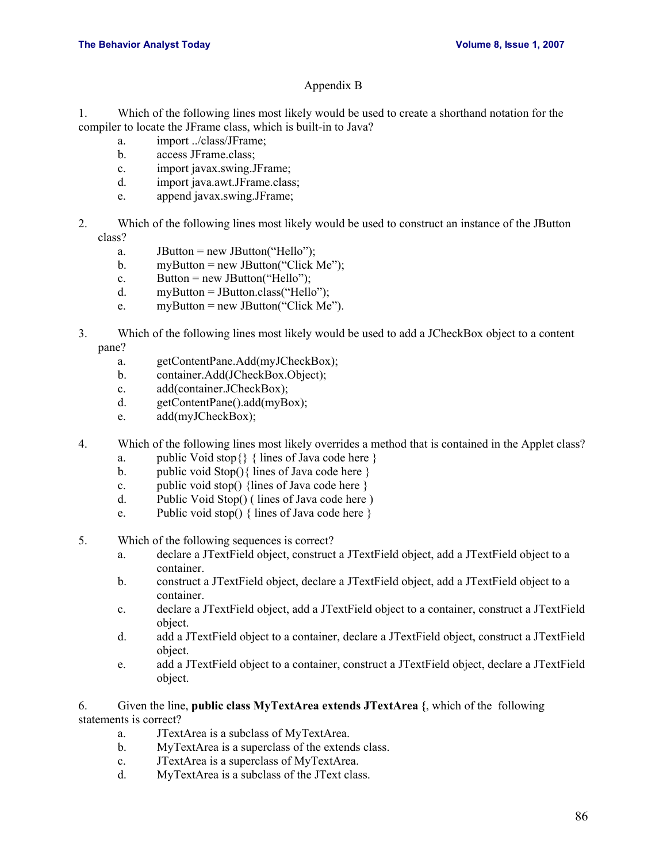## Appendix B

1. Which of the following lines most likely would be used to create a shorthand notation for the compiler to locate the JFrame class, which is built-in to Java?

- a. import ../class/JFrame;
- b. access JFrame.class;
- c. import javax.swing.JFrame;
- d. import java.awt.JFrame.class;
- e. append javax.swing.JFrame;
- 2. Which of the following lines most likely would be used to construct an instance of the JButton class?
	- a.  $JButton = new JButton("Hello")$ ;
	- b.  $myButton = new JButton("Click Me");$
	- c. Button = new JButton("Hello");
	- d. myButton = JButton.class("Hello");
	- e.  $myButton = new JButton("Click Me").$
- 3. Which of the following lines most likely would be used to add a JCheckBox object to a content pane?
	- a. getContentPane.Add(myJCheckBox);
	- b. container.Add(JCheckBox.Object);
	- c. add(container.JCheckBox);
	- d. getContentPane().add(myBox);
	- e. add(myJCheckBox);
- 4. Which of the following lines most likely overrides a method that is contained in the Applet class?
	- a. public Void stop $\{\}$  { lines of Java code here }
	- b. public void  $Stop()$  lines of Java code here }
	- c. public void stop() {lines of Java code here }
	- d. Public Void Stop() ( lines of Java code here )
	- e. Public void stop() { lines of Java code here }
- 5. Which of the following sequences is correct?
	- a. declare a JTextField object, construct a JTextField object, add a JTextField object to a container.
	- b. construct a JTextField object, declare a JTextField object, add a JTextField object to a container.
	- c. declare a JTextField object, add a JTextField object to a container, construct a JTextField object.
	- d. add a JTextField object to a container, declare a JTextField object, construct a JTextField object.
	- e. add a JTextField object to a container, construct a JTextField object, declare a JTextField object.
- 6. Given the line, **public class MyTextArea extends JTextArea {**, which of the following statements is correct?
	- a. JTextArea is a subclass of MyTextArea.
	- b. MyTextArea is a superclass of the extends class.
	- c. JTextArea is a superclass of MyTextArea.
	- d. MyTextArea is a subclass of the JText class.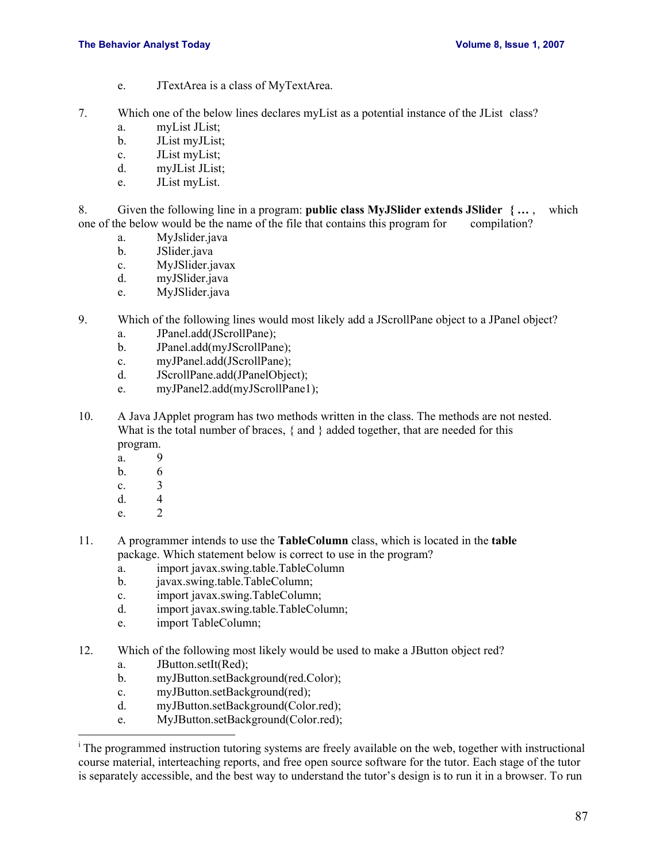- e. JTextArea is a class of MyTextArea.
- 7. Which one of the below lines declares myList as a potential instance of the JList class?
	- a. myList JList;
	- b. JList myJList;
	- c. JList myList;
	- d. myJList JList;
	- e. JList myList.
- 8. Given the following line in a program: **public class MyJSlider extends JSlider { …** , which one of the below would be the name of the file that contains this program for compilation?
	- a. MyJslider.java
	- b. JSlider.java
	- c. MyJSlider.javax
	- d. myJSlider.java
	- e. MyJSlider.java
- 9. Which of the following lines would most likely add a JScrollPane object to a JPanel object?
	- a. JPanel.add(JScrollPane);
	- b. JPanel.add(myJScrollPane);
	- c. myJPanel.add(JScrollPane);
	- d. JScrollPane.add(JPanelObject);
	- e. myJPanel2.add(myJScrollPane1);
- 10. A Java JApplet program has two methods written in the class. The methods are not nested. What is the total number of braces, { and } added together, that are needed for this program.
	- a. 9
	- b. 6
	- c. 3
	-
	- d.  $\begin{array}{ccc} 4 \\ e \end{array}$  $e<sub>2</sub>$

 $\overline{a}$ 

- 11. A programmer intends to use the **TableColumn** class, which is located in the **table** package. Which statement below is correct to use in the program?
	- a. import javax.swing.table.TableColumn
	- b. javax.swing.table.TableColumn;
	- c. import javax.swing.TableColumn;
	- d. import javax.swing.table.TableColumn;
	- e. import TableColumn;
- 12. Which of the following most likely would be used to make a JButton object red?
	- a. JButton.setIt(Red);
	- b. myJButton.setBackground(red.Color);
	- c. myJButton.setBackground(red);
	- d. myJButton.setBackground(Color.red);
	- e. MyJButton.setBackground(Color.red);

<sup>&</sup>lt;sup>i</sup> The programmed instruction tutoring systems are freely available on the web, together with instructional course material, interteaching reports, and free open source software for the tutor. Each stage of the tutor is separately accessible, and the best way to understand the tutor's design is to run it in a browser. To run